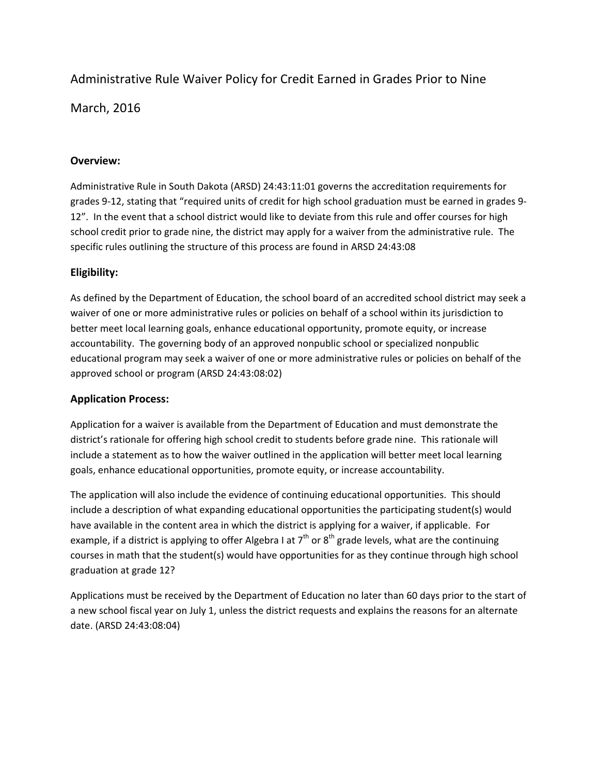# Administrative Rule Waiver Policy for Credit Earned in Grades Prior to Nine

March, 2016

## **Overview:**

Administrative Rule in South Dakota (ARSD) 24:43:11:01 governs the accreditation requirements for grades 9‐12, stating that "required units of credit for high school graduation must be earned in grades 9‐ 12". In the event that a school district would like to deviate from this rule and offer courses for high school credit prior to grade nine, the district may apply for a waiver from the administrative rule. The specific rules outlining the structure of this process are found in ARSD 24:43:08

# **Eligibility:**

As defined by the Department of Education, the school board of an accredited school district may seek a waiver of one or more administrative rules or policies on behalf of a school within its jurisdiction to better meet local learning goals, enhance educational opportunity, promote equity, or increase accountability. The governing body of an approved nonpublic school or specialized nonpublic educational program may seek a waiver of one or more administrative rules or policies on behalf of the approved school or program (ARSD 24:43:08:02)

#### **Application Process:**

Application for a waiver is available from the Department of Education and must demonstrate the district's rationale for offering high school credit to students before grade nine. This rationale will include a statement as to how the waiver outlined in the application will better meet local learning goals, enhance educational opportunities, promote equity, or increase accountability.

The application will also include the evidence of continuing educational opportunities. This should include a description of what expanding educational opportunities the participating student(s) would have available in the content area in which the district is applying for a waiver, if applicable. For example, if a district is applying to offer Algebra I at  $7<sup>th</sup>$  or  $8<sup>th</sup>$  grade levels, what are the continuing courses in math that the student(s) would have opportunities for as they continue through high school graduation at grade 12?

Applications must be received by the Department of Education no later than 60 days prior to the start of a new school fiscal year on July 1, unless the district requests and explains the reasons for an alternate date. (ARSD 24:43:08:04)